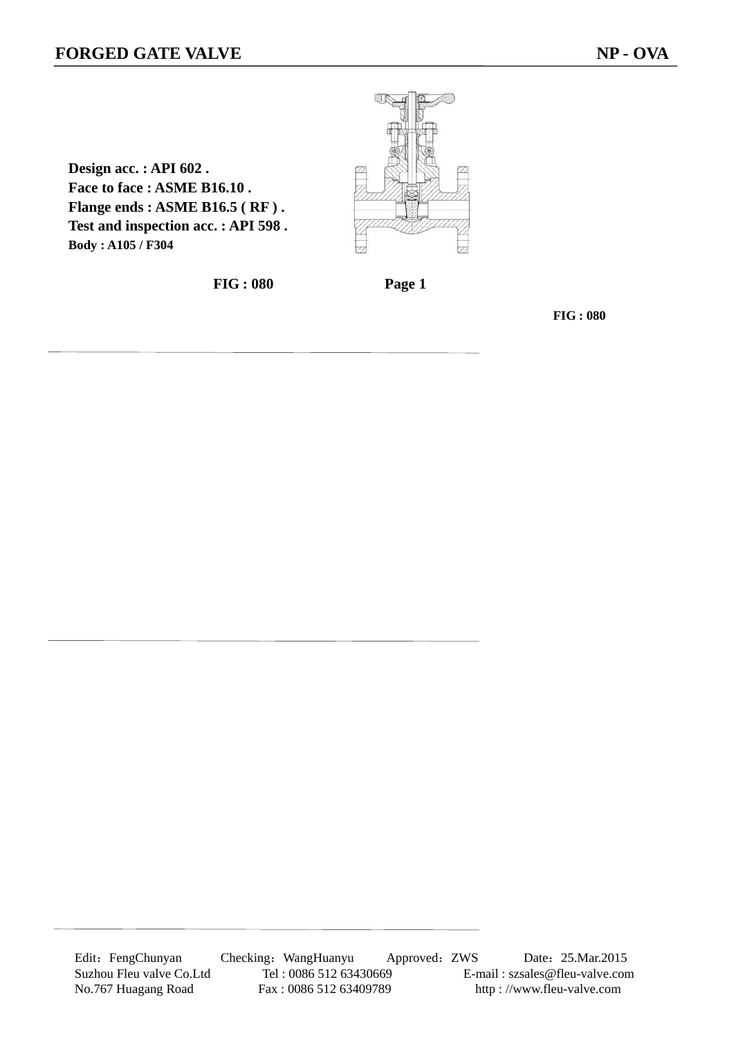**Design acc. : API 602 .** 

**Body : A105 / F304**

**Face to face : ASME B16.10 .** 

**Flange ends : ASME B16.5 ( RF ) . Test and inspection acc. : API 598 .** 

2

**FIG : 080 Page 1** 

**FIG : 080** 

Edit: FengChunyan Checking: WangHuanyu Approved: ZWS Date: 25.Mar.2015 Suzhou Fleu valve Co.Ltd Tel : 0086 512 63430669 E-mail : szsales@fleu-valve.com<br>No.767 Huagang Road Fax : 0086 512 63409789 http : //www.fleu-valve.com No.767 Huagang Road Fax : 0086 512 63409789 http : //www.fleu-valve.com